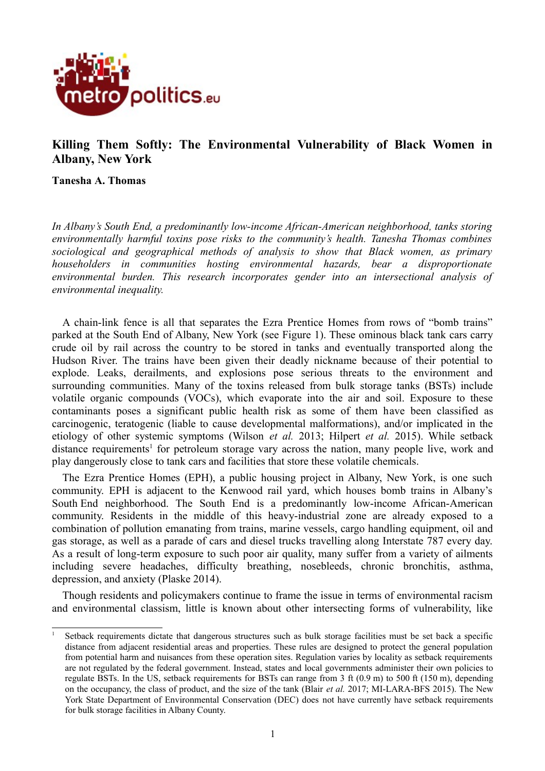

# **Killing Them Softly: The Environmental Vulnerability of Black Women in Albany, New York**

**Tanesha A. Thomas**

*In Albany's South End, a predominantly low-income African-American neighborhood, tanks storing environmentally harmful toxins pose risks to the community's health. Tanesha Thomas combines sociological and geographical methods of analysis to show that Black women, as primary householders in communities hosting environmental hazards, bear a disproportionate environmental burden. This research incorporates gender into an intersectional analysis of environmental inequality.*

A chain-link fence is all that separates the Ezra Prentice Homes from rows of "bomb trains" parked at the South End of Albany, New York (see Figure 1). These ominous black tank cars carry crude oil by rail across the country to be stored in tanks and eventually transported along the Hudson River. The trains have been given their deadly nickname because of their potential to explode. Leaks, derailments, and explosions pose serious threats to the environment and surrounding communities. Many of the toxins released from bulk storage tanks (BSTs) include volatile organic compounds (VOCs), which evaporate into the air and soil. Exposure to these contaminants poses a significant public health risk as some of them have been classified as carcinogenic, teratogenic (liable to cause developmental malformations), and/or implicated in the etiology of other systemic symptoms (Wilson *et al.* 2013; Hilpert *et al.* 2015). While setback distance requirements<sup>[1](#page-0-0)</sup> for petroleum storage vary across the nation, many people live, work and play dangerously close to tank cars and facilities that store these volatile chemicals.

The Ezra Prentice Homes (EPH), a public housing project in Albany, New York, is one such community. EPH is adjacent to the Kenwood rail yard, which houses bomb trains in Albany's South End neighborhood. The South End is a predominantly low-income African-American community. Residents in the middle of this heavy-industrial zone are already exposed to a combination of pollution emanating from trains, marine vessels, cargo handling equipment, oil and gas storage, as well as a parade of cars and diesel trucks travelling along Interstate 787 every day. As a result of long-term exposure to such poor air quality, many suffer from a variety of ailments including severe headaches, difficulty breathing, nosebleeds, chronic bronchitis, asthma, depression, and anxiety (Plaske 2014).

Though residents and policymakers continue to frame the issue in terms of environmental racism and environmental classism, little is known about other intersecting forms of vulnerability, like

<span id="page-0-0"></span><sup>&</sup>lt;sup>1</sup> Setback requirements dictate that dangerous structures such as bulk storage facilities must be set back a specific distance from adjacent residential areas and properties. These rules are designed to protect the general population from potential harm and nuisances from these operation sites. Regulation varies by locality as setback requirements are not regulated by the federal government. Instead, states and local governments administer their own policies to regulate BSTs. In the US, setback requirements for BSTs can range from 3 ft (0.9 m) to 500 ft (150 m), depending on the occupancy, the class of product, and the size of the tank (Blair *et al.* 2017; MI-LARA-BFS 2015). The New York State Department of Environmental Conservation (DEC) does not have currently have setback requirements for bulk storage facilities in Albany County.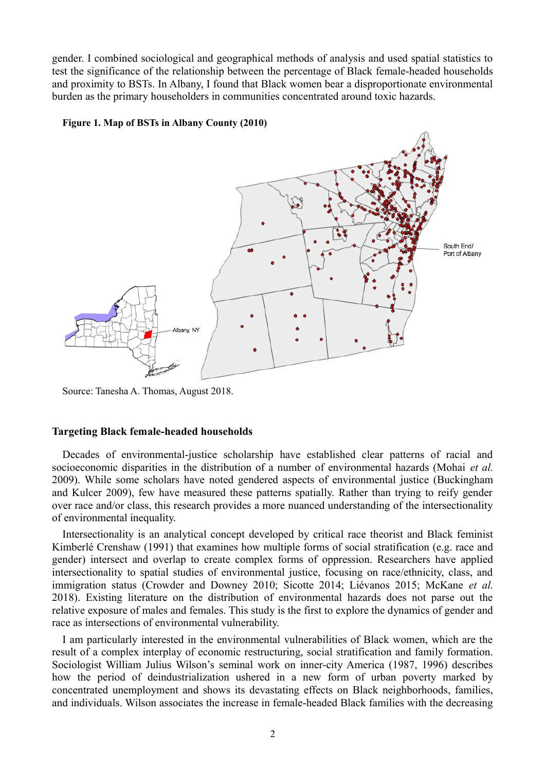gender. I combined sociological and geographical methods of analysis and used spatial statistics to test the significance of the relationship between the percentage of Black female-headed households and proximity to BSTs. In Albany, I found that Black women bear a disproportionate environmental burden as the primary householders in communities concentrated around toxic hazards.

#### **Figure 1. Map of BSTs in Albany County (2010)**



Source: Tanesha A. Thomas, August 2018.

#### **Targeting Black female-headed households**

Decades of environmental-justice scholarship have established clear patterns of racial and socioeconomic disparities in the distribution of a number of environmental hazards (Mohai *et al.* 2009). While some scholars have noted gendered aspects of environmental justice (Buckingham and Kulcer 2009), few have measured these patterns spatially. Rather than trying to reify gender over race and/or class, this research provides a more nuanced understanding of the intersectionality of environmental inequality.

Intersectionality is an analytical concept developed by critical race theorist and Black feminist Kimberlé Crenshaw (1991) that examines how multiple forms of social stratification (e.g. race and gender) intersect and overlap to create complex forms of oppression. Researchers have applied intersectionality to spatial studies of environmental justice, focusing on race/ethnicity, class, and immigration status (Crowder and Downey 2010; Sicotte 2014; Liévanos 2015; McKane *et al.* 2018). Existing literature on the distribution of environmental hazards does not parse out the relative exposure of males and females. This study is the first to explore the dynamics of gender and race as intersections of environmental vulnerability.

I am particularly interested in the environmental vulnerabilities of Black women, which are the result of a complex interplay of economic restructuring, social stratification and family formation. Sociologist William Julius Wilson's seminal work on inner-city America (1987, 1996) describes how the period of deindustrialization ushered in a new form of urban poverty marked by concentrated unemployment and shows its devastating effects on Black neighborhoods, families, and individuals. Wilson associates the increase in female-headed Black families with the decreasing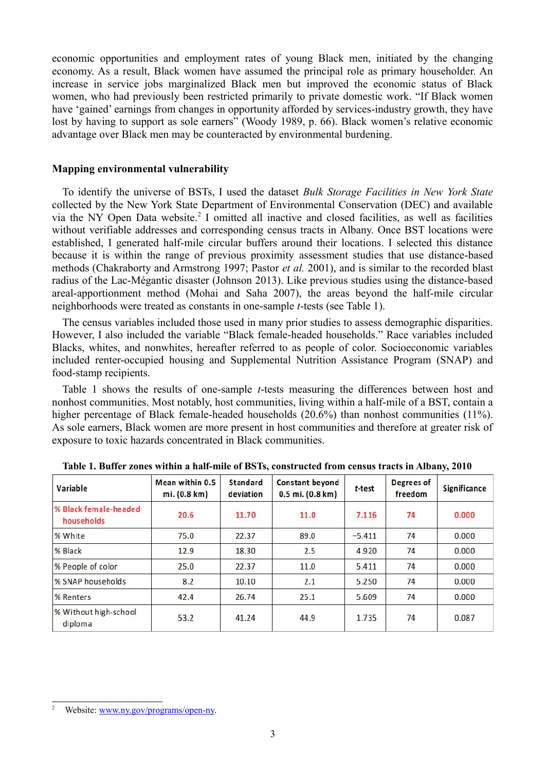economic opportunities and employment rates of young Black men, initiated by the changing economy. As a result, Black women have assumed the principal role as primary householder. An increase in service jobs marginalized Black men but improved the economic status of Black women, who had previously been restricted primarily to private domestic work. "If Black women have 'gained' earnings from changes in opportunity afforded by services-industry growth, they have lost by having to support as sole earners" (Woody 1989, p. 66). Black women's relative economic advantage over Black men may be counteracted by environmental burdening.

### **Mapping environmental vulnerability**

To identify the universe of BSTs, I used the dataset *Bulk Storage Facilities in New York State* collected by the New York State Department of Environmental Conservation (DEC) and available via the NY Open Data website.<sup>[2](#page-2-0)</sup> I omitted all inactive and closed facilities, as well as facilities without verifiable addresses and corresponding census tracts in Albany. Once BST locations were established, I generated half-mile circular buffers around their locations. I selected this distance because it is within the range of previous proximity assessment studies that use distance-based methods (Chakraborty and Armstrong 1997; Pastor *et al.* 2001), and is similar to the recorded blast radius of the Lac-Mégantic disaster (Johnson 2013). Like previous studies using the distance-based areal-apportionment method (Mohai and Saha 2007), the areas beyond the half-mile circular neighborhoods were treated as constants in one-sample *t*-tests (see Table 1).

The census variables included those used in many prior studies to assess demographic disparities. However, I also included the variable "Black female-headed households." Race variables included Blacks, whites, and nonwhites, hereafter referred to as people of color. Socioeconomic variables included renter-occupied housing and Supplemental Nutrition Assistance Program (SNAP) and food-stamp recipients.

Table 1 shows the results of one-sample *t*-tests measuring the differences between host and nonhost communities. Most notably, host communities, living within a half-mile of a BST, contain a higher percentage of Black female-headed households (20.6%) than nonhost communities (11%). As sole earners, Black women are more present in host communities and therefore at greater risk of exposure to toxic hazards concentrated in Black communities.

| Variable                            | Mean within 0.5<br>mi. (0.8 km) | <b>Standard</b><br>deviation | <b>Constant beyond</b><br>$0.5$ mi. $(0.8$ km) | t-test   | Degrees of<br>freedom | <b>Significance</b> |
|-------------------------------------|---------------------------------|------------------------------|------------------------------------------------|----------|-----------------------|---------------------|
| % Black female-headed<br>households | 20.6                            | 11.70                        | 11.0                                           | 7.116    | 74                    | 0.000               |
| % White                             | 75.0                            | 22.37                        | 89.0                                           | $-5.411$ | 74                    | 0.000               |
| % Black                             | 12.9                            | 18.30                        | 2.5                                            | 4.920    | 74                    | 0.000               |
| % People of color                   | 25.0                            | 22.37                        | 11.0                                           | 5.411    | 74                    | 0.000               |
| % SNAP households                   | 8.2                             | 10.10                        | 2.1                                            | 5.250    | 74                    | 0.000               |
| % Renters                           | 42.4                            | 26.74                        | 25.1                                           | 5.609    | 74                    | 0.000               |
| % Without high-school<br>diploma    | 53.2                            | 41.24                        | 44.9                                           | 1.735    | 74                    | 0.087               |

**Table 1. Buffer zones within a half-mile of BSTs, constructed from census tracts in Albany, 2010**

<span id="page-2-0"></span>Website: [www.ny.gov/programs/open-ny.](https://www.ny.gov/programs/open-ny)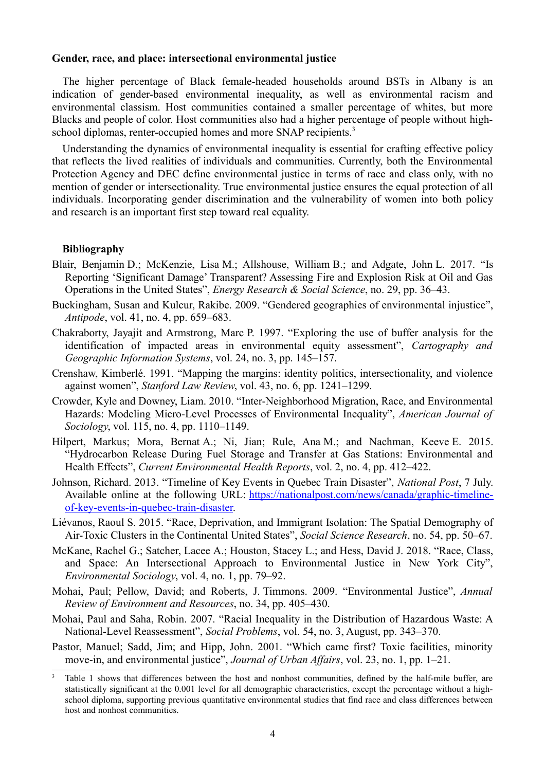### **Gender, race, and place: intersectional environmental justice**

The higher percentage of Black female-headed households around BSTs in Albany is an indication of gender-based environmental inequality, as well as environmental racism and environmental classism. Host communities contained a smaller percentage of whites, but more Blacks and people of color. Host communities also had a higher percentage of people without high-school diplomas, renter-occupied homes and more SNAP recipients.<sup>[3](#page-3-0)</sup>

Understanding the dynamics of environmental inequality is essential for crafting effective policy that reflects the lived realities of individuals and communities. Currently, both the Environmental Protection Agency and DEC define environmental justice in terms of race and class only, with no mention of gender or intersectionality. True environmental justice ensures the equal protection of all individuals. Incorporating gender discrimination and the vulnerability of women into both policy and research is an important first step toward real equality.

## **Bibliography**

- Blair, Benjamin D.; McKenzie, Lisa M.; Allshouse, William B.; and Adgate, John L. 2017. "Is Reporting 'Significant Damage' Transparent? Assessing Fire and Explosion Risk at Oil and Gas Operations in the United States", *Energy Research & Social Science*, no. 29, pp. 36–43.
- Buckingham, Susan and Kulcur, Rakibe. 2009. "Gendered geographies of environmental injustice", *Antipode*, vol. 41, no. 4, pp. 659–683.
- Chakraborty, Jayajit and Armstrong, Marc P. 1997. "Exploring the use of buffer analysis for the identification of impacted areas in environmental equity assessment", *Cartography and Geographic Information Systems*, vol. 24, no. 3, pp. 145–157.
- Crenshaw, Kimberlé. 1991. "Mapping the margins: identity politics, intersectionality, and violence against women", *Stanford Law Review*, vol. 43, no. 6, pp. 1241–1299.
- Crowder, Kyle and Downey, Liam. 2010. "Inter-Neighborhood Migration, Race, and Environmental Hazards: Modeling Micro-Level Processes of Environmental Inequality", *American Journal of Sociology*, vol. 115, no. 4, pp. 1110–1149.
- Hilpert, Markus; Mora, Bernat A.; Ni, Jian; Rule, Ana M.; and Nachman, Keeve E. 2015. "Hydrocarbon Release During Fuel Storage and Transfer at Gas Stations: Environmental and Health Effects", *Current Environmental Health Reports*, vol. 2, no. 4, pp. 412–422.
- Johnson, Richard. 2013. "Timeline of Key Events in Quebec Train Disaster", *National Post*, 7 July. Available online at the following URL: [https://nationalpost.com/news/canada/graphic-timeline](https://nationalpost.com/news/canada/graphic-timeline-of-key-events-in-quebec-train-disaster)[of-key-events-in-quebec-train-disaster.](https://nationalpost.com/news/canada/graphic-timeline-of-key-events-in-quebec-train-disaster)
- Liévanos, Raoul S. 2015. "Race, Deprivation, and Immigrant Isolation: The Spatial Demography of Air-Toxic Clusters in the Continental United States", *Social Science Research*, no. 54, pp. 50–67.
- McKane, Rachel G.; Satcher, Lacee A.; Houston, Stacey L.; and Hess, David J. 2018. "Race, Class, and Space: An Intersectional Approach to Environmental Justice in New York City", *Environmental Sociology*, vol. 4, no. 1, pp. 79–92.
- Mohai, Paul; Pellow, David; and Roberts, J. Timmons. 2009. "Environmental Justice", *Annual Review of Environment and Resources*, no. 34, pp. 405–430.
- Mohai, Paul and Saha, Robin. 2007. "Racial Inequality in the Distribution of Hazardous Waste: A National-Level Reassessment", *Social Problems*, vol. 54, no. 3, August, pp. 343–370.
- Pastor, Manuel; Sadd, Jim; and Hipp, John. 2001. "Which came first? Toxic facilities, minority move-in, and environmental justice", *Journal of Urban Affairs*, vol. 23, no. 1, pp. 1–21.

<span id="page-3-0"></span><sup>&</sup>lt;sup>3</sup> Table 1 shows that differences between the host and nonhost communities, defined by the half-mile buffer, are statistically significant at the 0.001 level for all demographic characteristics, except the percentage without a highschool diploma, supporting previous quantitative environmental studies that find race and class differences between host and nonhost communities.